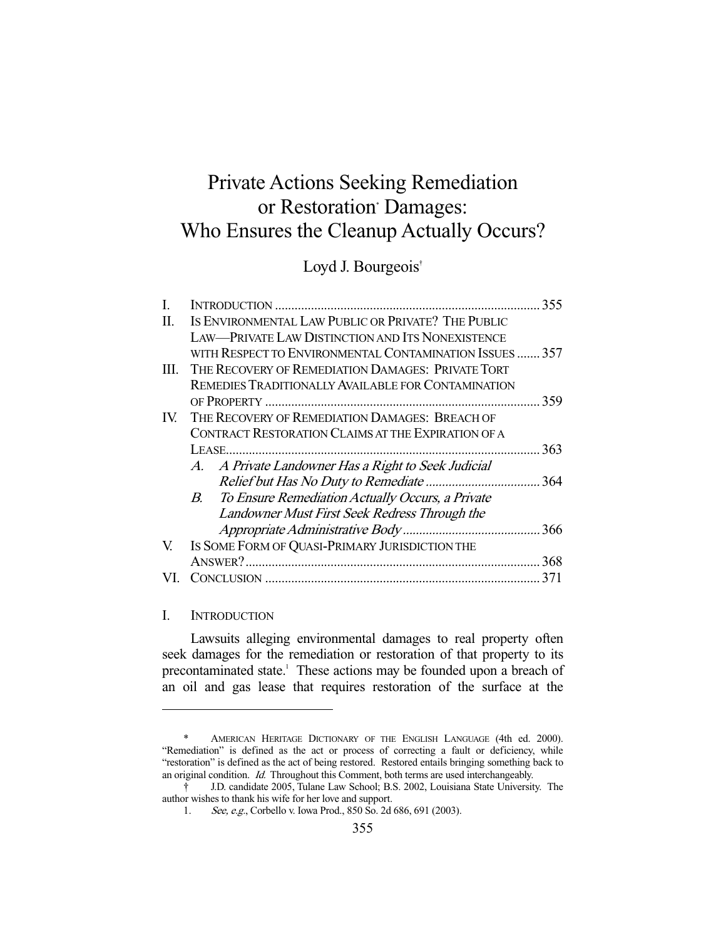# Private Actions Seeking Remediation or Restoration' Damages: Who Ensures the Cleanup Actually Occurs?

## Loyd J. Bourgeois<sup>†</sup>

| I.   |                                                         | 355 |
|------|---------------------------------------------------------|-----|
| П.   | IS ENVIRONMENTAL LAW PUBLIC OR PRIVATE? THE PUBLIC      |     |
|      | <b>LAW—PRIVATE LAW DISTINCTION AND ITS NONEXISTENCE</b> |     |
|      | WITH RESPECT TO ENVIRONMENTAL CONTAMINATION ISSUES 357  |     |
| III. | THE RECOVERY OF REMEDIATION DAMAGES: PRIVATE TORT       |     |
|      | REMEDIES TRADITIONALLY AVAILABLE FOR CONTAMINATION      |     |
|      |                                                         | 359 |
| IV.  | THE RECOVERY OF REMEDIATION DAMAGES: BREACH OF          |     |
|      | CONTRACT RESTORATION CLAIMS AT THE EXPIRATION OF A      |     |
|      |                                                         | 363 |
|      | A. A Private Landowner Has a Right to Seek Judicial     |     |
|      |                                                         |     |
|      | B. To Ensure Remediation Actually Occurs, a Private     |     |
|      | Landowner Must First Seek Redress Through the           |     |
|      |                                                         | 366 |
| V.   | IS SOME FORM OF QUASI-PRIMARY JURISDICTION THE          |     |
|      |                                                         | 368 |
|      |                                                         | 371 |

#### I. INTRODUCTION

-

 Lawsuits alleging environmental damages to real property often seek damages for the remediation or restoration of that property to its precontaminated state.<sup>1</sup> These actions may be founded upon a breach of an oil and gas lease that requires restoration of the surface at the

 <sup>\*</sup> AMERICAN HERITAGE DICTIONARY OF THE ENGLISH LANGUAGE (4th ed. 2000). "Remediation" is defined as the act or process of correcting a fault or deficiency, while "restoration" is defined as the act of being restored. Restored entails bringing something back to an original condition. Id. Throughout this Comment, both terms are used interchangeably.

 <sup>†</sup> J.D. candidate 2005, Tulane Law School; B.S. 2002, Louisiana State University. The author wishes to thank his wife for her love and support.

 <sup>1.</sup> See, e.g., Corbello v. Iowa Prod., 850 So. 2d 686, 691 (2003).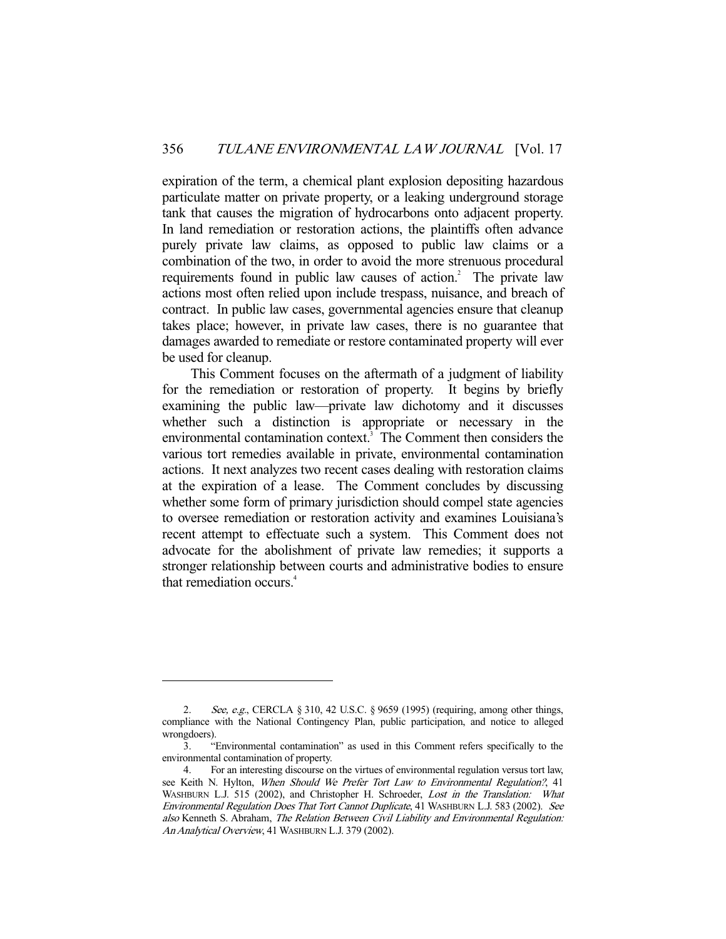expiration of the term, a chemical plant explosion depositing hazardous particulate matter on private property, or a leaking underground storage tank that causes the migration of hydrocarbons onto adjacent property. In land remediation or restoration actions, the plaintiffs often advance purely private law claims, as opposed to public law claims or a combination of the two, in order to avoid the more strenuous procedural requirements found in public law causes of action. $^2$  The private law actions most often relied upon include trespass, nuisance, and breach of contract. In public law cases, governmental agencies ensure that cleanup takes place; however, in private law cases, there is no guarantee that damages awarded to remediate or restore contaminated property will ever be used for cleanup.

 This Comment focuses on the aftermath of a judgment of liability for the remediation or restoration of property. It begins by briefly examining the public law—private law dichotomy and it discusses whether such a distinction is appropriate or necessary in the environmental contamination context.<sup>3</sup> The Comment then considers the various tort remedies available in private, environmental contamination actions. It next analyzes two recent cases dealing with restoration claims at the expiration of a lease. The Comment concludes by discussing whether some form of primary jurisdiction should compel state agencies to oversee remediation or restoration activity and examines Louisiana's recent attempt to effectuate such a system. This Comment does not advocate for the abolishment of private law remedies; it supports a stronger relationship between courts and administrative bodies to ensure that remediation occurs.<sup>4</sup>

See, e.g., CERCLA § 310, 42 U.S.C. § 9659 (1995) (requiring, among other things, compliance with the National Contingency Plan, public participation, and notice to alleged wrongdoers).

 <sup>3. &</sup>quot;Environmental contamination" as used in this Comment refers specifically to the environmental contamination of property.

 <sup>4.</sup> For an interesting discourse on the virtues of environmental regulation versus tort law, see Keith N. Hylton, When Should We Prefer Tort Law to Environmental Regulation?, 41 WASHBURN L.J. 515 (2002), and Christopher H. Schroeder, Lost in the Translation: What Environmental Regulation Does That Tort Cannot Duplicate, 41 WASHBURN L.J. 583 (2002). See also Kenneth S. Abraham, The Relation Between Civil Liability and Environmental Regulation: An Analytical Overview, 41 WASHBURN L.J. 379 (2002).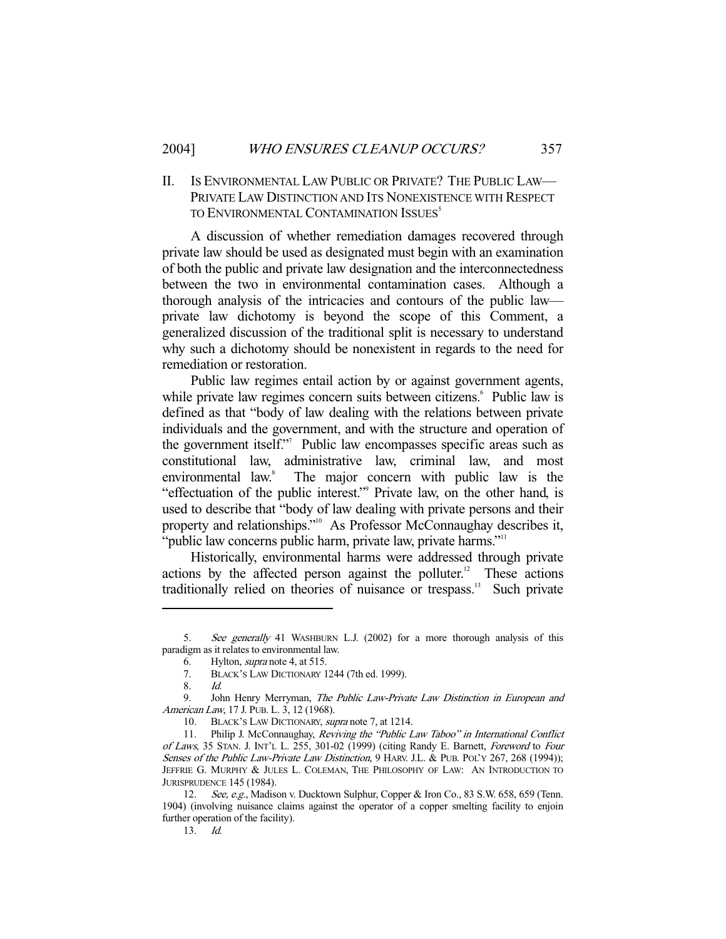### II. IS ENVIRONMENTAL LAW PUBLIC OR PRIVATE? THE PUBLIC LAW— PRIVATE LAW DISTINCTION AND ITS NONEXISTENCE WITH RESPECT TO ENVIRONMENTAL CONTAMINATION ISSUES<sup>5</sup>

 A discussion of whether remediation damages recovered through private law should be used as designated must begin with an examination of both the public and private law designation and the interconnectedness between the two in environmental contamination cases. Although a thorough analysis of the intricacies and contours of the public law private law dichotomy is beyond the scope of this Comment, a generalized discussion of the traditional split is necessary to understand why such a dichotomy should be nonexistent in regards to the need for remediation or restoration.

 Public law regimes entail action by or against government agents, while private law regimes concern suits between citizens.<sup>6</sup> Public law is defined as that "body of law dealing with the relations between private individuals and the government, and with the structure and operation of the government itself."7 Public law encompasses specific areas such as constitutional law, administrative law, criminal law, and most environmental law.<sup>8</sup> The major concern with public law is the "effectuation of the public interest." Private law, on the other hand, is used to describe that "body of law dealing with private persons and their property and relationships."<sup>10</sup> As Professor McConnaughay describes it, "public law concerns public harm, private law, private harms."<sup>11</sup>

 Historically, environmental harms were addressed through private actions by the affected person against the polluter.<sup>12</sup> These actions traditionally relied on theories of nuisance or trespass.13 Such private

 <sup>5.</sup> See generally 41 WASHBURN L.J. (2002) for a more thorough analysis of this paradigm as it relates to environmental law.

<sup>6.</sup> Hylton, *supra* note 4, at 515.<br>7. BLACK'S LAW DICTIONARY 1

BLACK'S LAW DICTIONARY 1244 (7th ed. 1999).

 <sup>8.</sup> Id.

<sup>9.</sup> John Henry Merryman, The Public Law-Private Law Distinction in European and American Law, 17 J. PUB. L. 3, 12 (1968).

 <sup>10.</sup> BLACK'S LAW DICTIONARY, supra note 7, at 1214.

 <sup>11.</sup> Philip J. McConnaughay, Reviving the "Public Law Taboo" in International Conflict of Laws, 35 STAN. J. INT'L L. 255, 301-02 (1999) (citing Randy E. Barnett, Foreword to Four Senses of the Public Law-Private Law Distinction, 9 HARV. J.L. & PUB. POL'Y 267, 268 (1994)); JEFFRIE G. MURPHY & JULES L. COLEMAN, THE PHILOSOPHY OF LAW: AN INTRODUCTION TO JURISPRUDENCE 145 (1984).

<sup>12.</sup> See, e.g., Madison v. Ducktown Sulphur, Copper & Iron Co., 83 S.W. 658, 659 (Tenn. 1904) (involving nuisance claims against the operator of a copper smelting facility to enjoin further operation of the facility).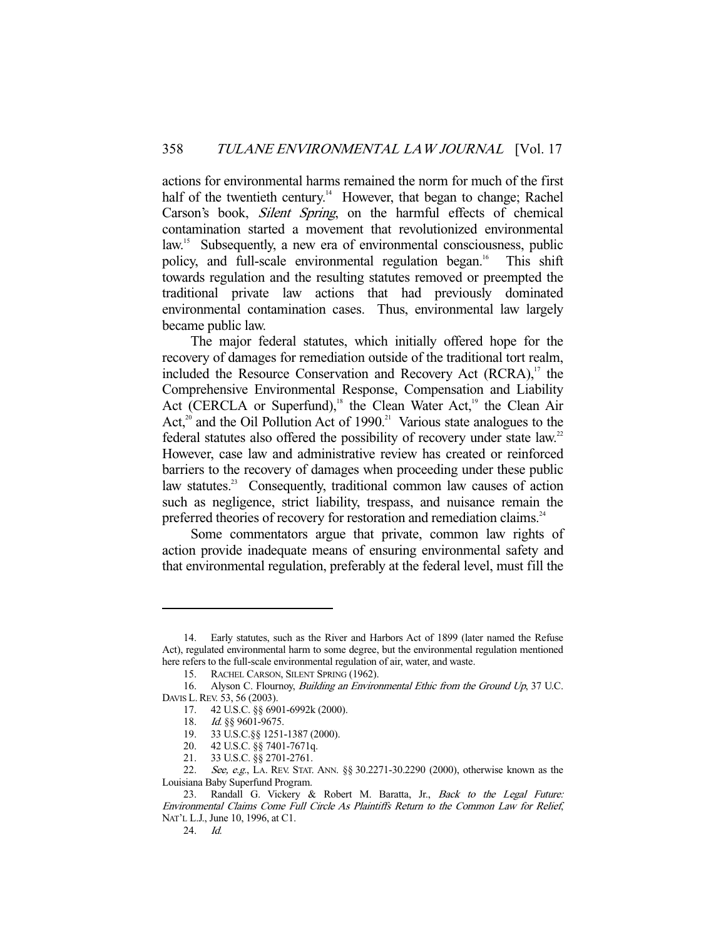actions for environmental harms remained the norm for much of the first half of the twentieth century.<sup>14</sup> However, that began to change; Rachel Carson's book, Silent Spring, on the harmful effects of chemical contamination started a movement that revolutionized environmental law.<sup>15</sup> Subsequently, a new era of environmental consciousness, public policy, and full-scale environmental regulation began.<sup>16</sup> This shift towards regulation and the resulting statutes removed or preempted the traditional private law actions that had previously dominated environmental contamination cases. Thus, environmental law largely became public law.

 The major federal statutes, which initially offered hope for the recovery of damages for remediation outside of the traditional tort realm, included the Resource Conservation and Recovery Act  $(RCRA)$ ,<sup>17</sup> the Comprehensive Environmental Response, Compensation and Liability Act (CERCLA or Superfund),<sup>18</sup> the Clean Water Act,<sup>19</sup> the Clean Air Act, $2^{0}$  and the Oil Pollution Act of 1990.<sup>21</sup> Various state analogues to the federal statutes also offered the possibility of recovery under state law.<sup>22</sup> However, case law and administrative review has created or reinforced barriers to the recovery of damages when proceeding under these public law statutes.<sup>23</sup> Consequently, traditional common law causes of action such as negligence, strict liability, trespass, and nuisance remain the preferred theories of recovery for restoration and remediation claims.<sup>24</sup>

 Some commentators argue that private, common law rights of action provide inadequate means of ensuring environmental safety and that environmental regulation, preferably at the federal level, must fill the

 <sup>14.</sup> Early statutes, such as the River and Harbors Act of 1899 (later named the Refuse Act), regulated environmental harm to some degree, but the environmental regulation mentioned here refers to the full-scale environmental regulation of air, water, and waste.

 <sup>15.</sup> RACHEL CARSON, SILENT SPRING (1962).

<sup>16.</sup> Alyson C. Flournoy, *Building an Environmental Ethic from the Ground Up*, 37 U.C. DAVIS L. REV. 53, 56 (2003).

 <sup>17. 42</sup> U.S.C. §§ 6901-6992k (2000).

<sup>18.</sup> Id. §§ 9601-9675.

 <sup>19. 33</sup> U.S.C.§§ 1251-1387 (2000).

 <sup>20. 42</sup> U.S.C. §§ 7401-7671q.

<sup>21. 33</sup> U.S.C.  $\S$ § 2701-2761.

<sup>22.</sup> See, e.g., LA. REV. STAT. ANN. §§ 30.2271-30.2290 (2000), otherwise known as the Louisiana Baby Superfund Program.

<sup>23.</sup> Randall G. Vickery & Robert M. Baratta, Jr., Back to the Legal Future: Environmental Claims Come Full Circle As Plaintiffs Return to the Common Law for Relief, NAT'L L.J., June 10, 1996, at C1.

 <sup>24.</sup> Id.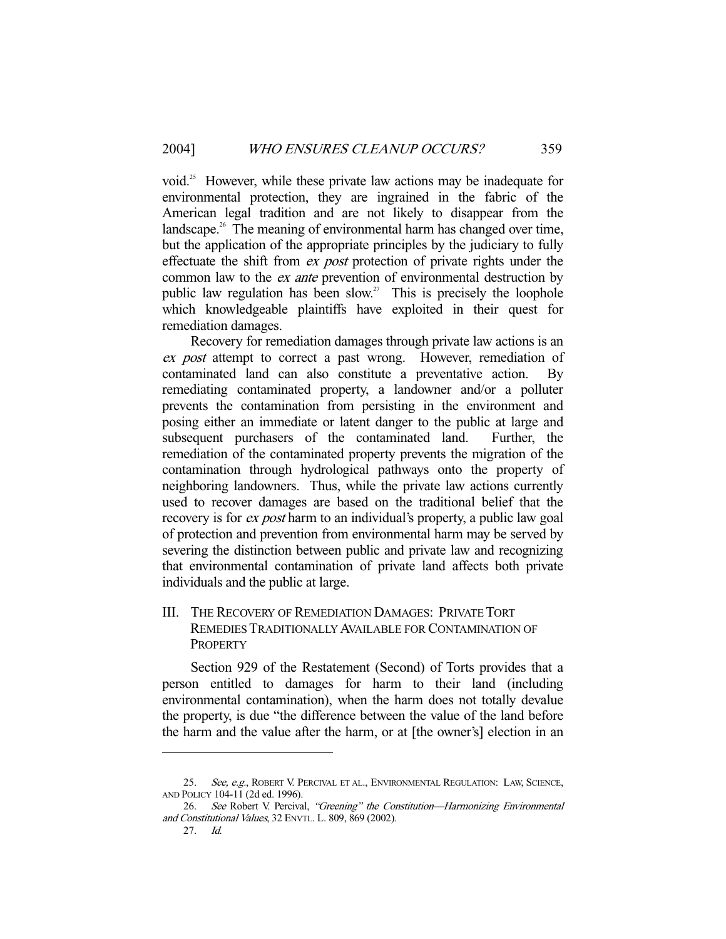void.<sup>25</sup> However, while these private law actions may be inadequate for environmental protection, they are ingrained in the fabric of the American legal tradition and are not likely to disappear from the landscape. $26$  The meaning of environmental harm has changed over time, but the application of the appropriate principles by the judiciary to fully effectuate the shift from ex post protection of private rights under the common law to the ex ante prevention of environmental destruction by public law regulation has been slow.<sup>27</sup> This is precisely the loophole which knowledgeable plaintiffs have exploited in their quest for remediation damages.

 Recovery for remediation damages through private law actions is an ex post attempt to correct a past wrong. However, remediation of contaminated land can also constitute a preventative action. By remediating contaminated property, a landowner and/or a polluter prevents the contamination from persisting in the environment and posing either an immediate or latent danger to the public at large and subsequent purchasers of the contaminated land. Further, the remediation of the contaminated property prevents the migration of the contamination through hydrological pathways onto the property of neighboring landowners. Thus, while the private law actions currently used to recover damages are based on the traditional belief that the recovery is for *ex post* harm to an individual's property, a public law goal of protection and prevention from environmental harm may be served by severing the distinction between public and private law and recognizing that environmental contamination of private land affects both private individuals and the public at large.

## III. THE RECOVERY OF REMEDIATION DAMAGES: PRIVATE TORT REMEDIES TRADITIONALLY AVAILABLE FOR CONTAMINATION OF **PROPERTY**

 Section 929 of the Restatement (Second) of Torts provides that a person entitled to damages for harm to their land (including environmental contamination), when the harm does not totally devalue the property, is due "the difference between the value of the land before the harm and the value after the harm, or at [the owner's] election in an

<sup>25.</sup> See, e.g., ROBERT V. PERCIVAL ET AL., ENVIRONMENTAL REGULATION: LAW, SCIENCE, AND POLICY 104-11 (2d ed. 1996).

<sup>26.</sup> See Robert V. Percival, "Greening" the Constitution-Harmonizing Environmental and Constitutional Values, 32 ENVTL. L. 809, 869 (2002).

 <sup>27.</sup> Id.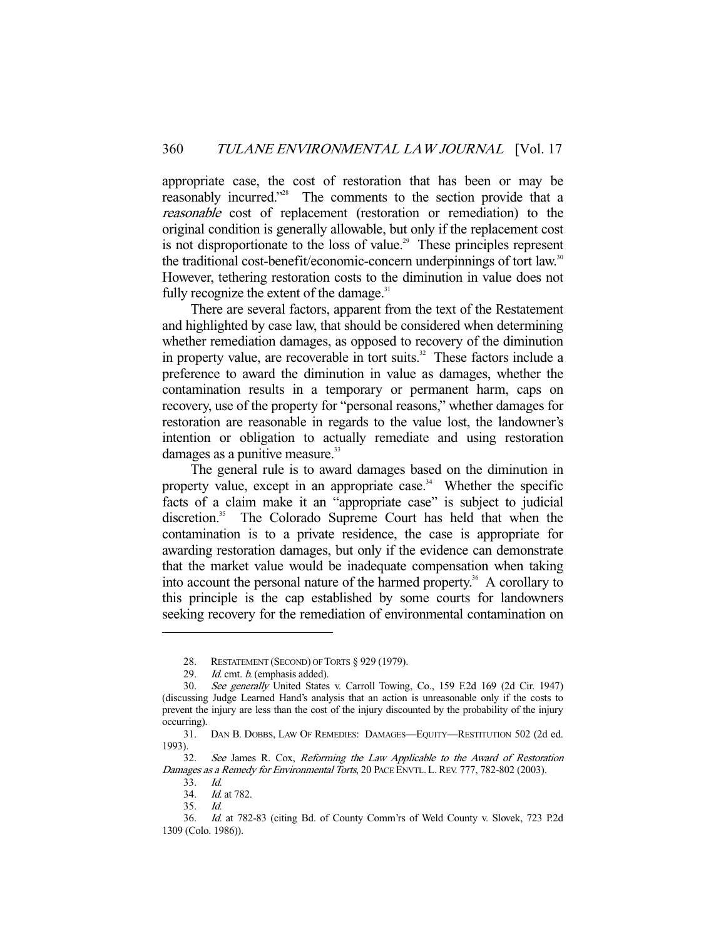appropriate case, the cost of restoration that has been or may be reasonably incurred."28 The comments to the section provide that a reasonable cost of replacement (restoration or remediation) to the original condition is generally allowable, but only if the replacement cost is not disproportionate to the loss of value.<sup>29</sup> These principles represent the traditional cost-benefit/economic-concern underpinnings of tort law.<sup>30</sup> However, tethering restoration costs to the diminution in value does not fully recognize the extent of the damage. $31$ 

 There are several factors, apparent from the text of the Restatement and highlighted by case law, that should be considered when determining whether remediation damages, as opposed to recovery of the diminution in property value, are recoverable in tort suits. $32$  These factors include a preference to award the diminution in value as damages, whether the contamination results in a temporary or permanent harm, caps on recovery, use of the property for "personal reasons," whether damages for restoration are reasonable in regards to the value lost, the landowner's intention or obligation to actually remediate and using restoration damages as a punitive measure.<sup>33</sup>

 The general rule is to award damages based on the diminution in property value, except in an appropriate case.<sup>34</sup> Whether the specific facts of a claim make it an "appropriate case" is subject to judicial discretion.<sup>35</sup> The Colorado Supreme Court has held that when the contamination is to a private residence, the case is appropriate for awarding restoration damages, but only if the evidence can demonstrate that the market value would be inadequate compensation when taking into account the personal nature of the harmed property.<sup>36</sup> A corollary to this principle is the cap established by some courts for landowners seeking recovery for the remediation of environmental contamination on

 <sup>28.</sup> RESTATEMENT (SECOND) OF TORTS § 929 (1979).

<sup>29.</sup> *Id.* cmt. *b.* (emphasis added).

 <sup>30.</sup> See generally United States v. Carroll Towing, Co., 159 F.2d 169 (2d Cir. 1947) (discussing Judge Learned Hand's analysis that an action is unreasonable only if the costs to prevent the injury are less than the cost of the injury discounted by the probability of the injury occurring).

 <sup>31.</sup> DAN B. DOBBS, LAW OF REMEDIES: DAMAGES—EQUITY—RESTITUTION 502 (2d ed. 1993).

 <sup>32.</sup> See James R. Cox, Reforming the Law Applicable to the Award of Restoration Damages as a Remedy for Environmental Torts, 20 PACE ENVTL. L. REV. 777, 782-802 (2003).

 <sup>33.</sup> Id.

 <sup>34.</sup> Id. at 782.

 <sup>35.</sup> Id.

 <sup>36.</sup> Id. at 782-83 (citing Bd. of County Comm'rs of Weld County v. Slovek, 723 P.2d 1309 (Colo. 1986)).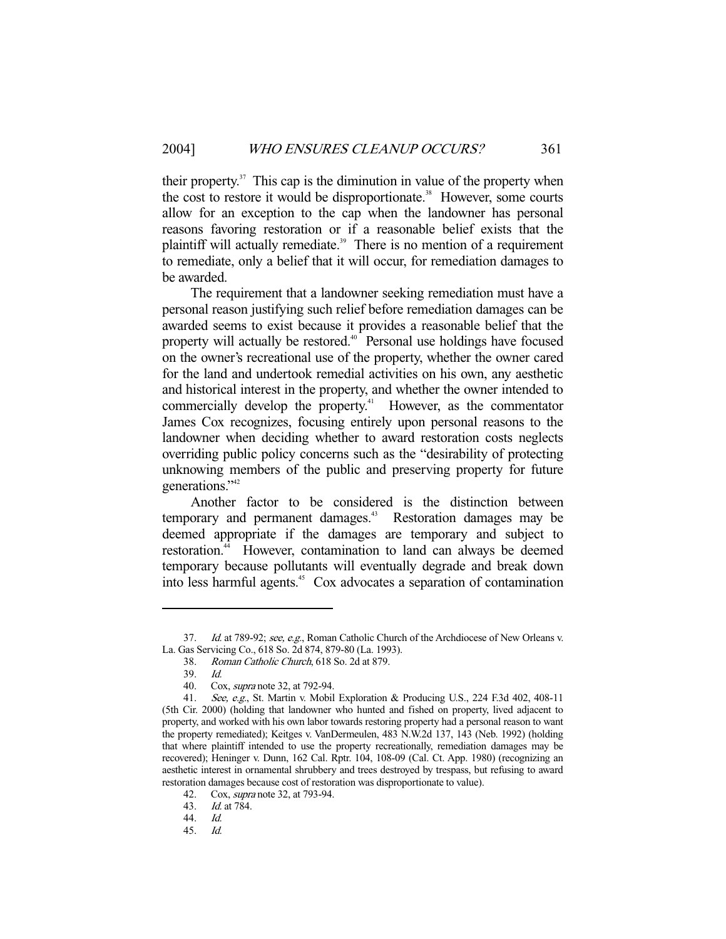their property. $37$  This cap is the diminution in value of the property when the cost to restore it would be disproportionate.<sup>38</sup> However, some courts allow for an exception to the cap when the landowner has personal reasons favoring restoration or if a reasonable belief exists that the plaintiff will actually remediate.<sup>39</sup> There is no mention of a requirement to remediate, only a belief that it will occur, for remediation damages to be awarded.

 The requirement that a landowner seeking remediation must have a personal reason justifying such relief before remediation damages can be awarded seems to exist because it provides a reasonable belief that the property will actually be restored.<sup>40</sup> Personal use holdings have focused on the owner's recreational use of the property, whether the owner cared for the land and undertook remedial activities on his own, any aesthetic and historical interest in the property, and whether the owner intended to commercially develop the property.<sup>41</sup> However, as the commentator James Cox recognizes, focusing entirely upon personal reasons to the landowner when deciding whether to award restoration costs neglects overriding public policy concerns such as the "desirability of protecting unknowing members of the public and preserving property for future generations."<sup>42</sup>

 Another factor to be considered is the distinction between temporary and permanent damages.<sup>43</sup> Restoration damages may be deemed appropriate if the damages are temporary and subject to restoration.<sup>44</sup> However, contamination to land can always be deemed temporary because pollutants will eventually degrade and break down into less harmful agents.45 Cox advocates a separation of contamination

<sup>37.</sup> Id. at 789-92; see, e.g., Roman Catholic Church of the Archdiocese of New Orleans v. La. Gas Servicing Co., 618 So. 2d 874, 879-80 (La. 1993).

 <sup>38.</sup> Roman Catholic Church, 618 So. 2d at 879.

 <sup>39.</sup> Id.

 <sup>40.</sup> Cox, supra note 32, at 792-94.

<sup>41.</sup> See, e.g., St. Martin v. Mobil Exploration & Producing U.S., 224 F.3d 402, 408-11 (5th Cir. 2000) (holding that landowner who hunted and fished on property, lived adjacent to property, and worked with his own labor towards restoring property had a personal reason to want the property remediated); Keitges v. VanDermeulen, 483 N.W.2d 137, 143 (Neb. 1992) (holding that where plaintiff intended to use the property recreationally, remediation damages may be recovered); Heninger v. Dunn, 162 Cal. Rptr. 104, 108-09 (Cal. Ct. App. 1980) (recognizing an aesthetic interest in ornamental shrubbery and trees destroyed by trespass, but refusing to award restoration damages because cost of restoration was disproportionate to value).

 <sup>42.</sup> Cox, supra note 32, at 793-94.

<sup>43.</sup> *Id.* at 784.

 <sup>44.</sup> Id.

 <sup>45.</sup> Id.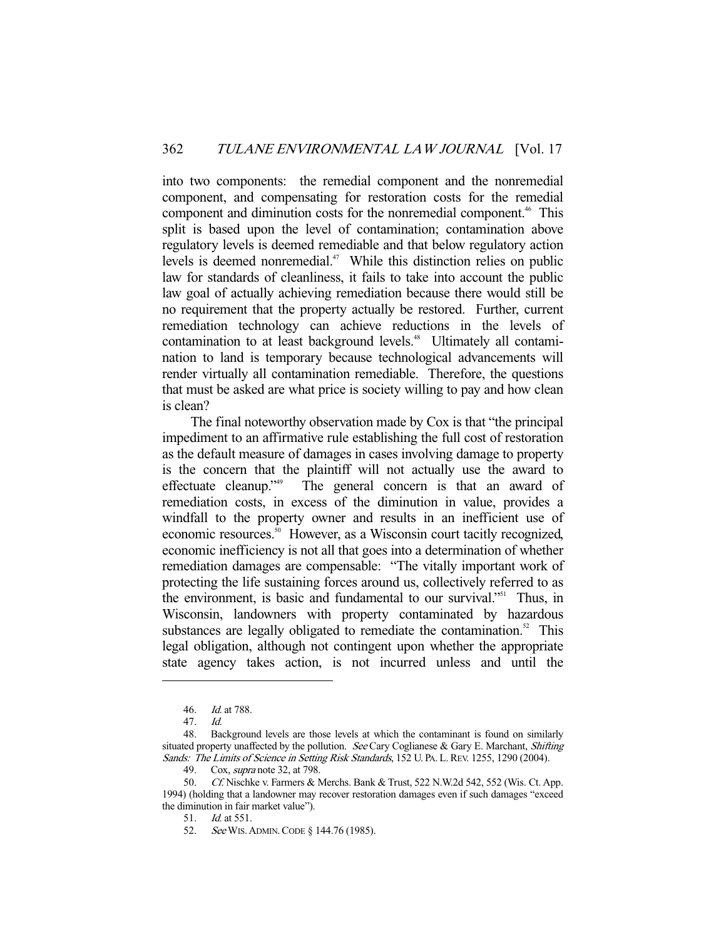into two components: the remedial component and the nonremedial component, and compensating for restoration costs for the remedial component and diminution costs for the nonremedial component.<sup>46</sup> This split is based upon the level of contamination; contamination above regulatory levels is deemed remediable and that below regulatory action levels is deemed nonremedial.<sup>47</sup> While this distinction relies on public law for standards of cleanliness, it fails to take into account the public law goal of actually achieving remediation because there would still be no requirement that the property actually be restored. Further, current remediation technology can achieve reductions in the levels of contamination to at least background levels.<sup>48</sup> Ultimately all contamination to land is temporary because technological advancements will render virtually all contamination remediable. Therefore, the questions that must be asked are what price is society willing to pay and how clean is clean?

 The final noteworthy observation made by Cox is that "the principal impediment to an affirmative rule establishing the full cost of restoration as the default measure of damages in cases involving damage to property is the concern that the plaintiff will not actually use the award to effectuate cleanup."49 The general concern is that an award of remediation costs, in excess of the diminution in value, provides a windfall to the property owner and results in an inefficient use of economic resources.<sup>50</sup> However, as a Wisconsin court tacitly recognized, economic inefficiency is not all that goes into a determination of whether remediation damages are compensable: "The vitally important work of protecting the life sustaining forces around us, collectively referred to as the environment, is basic and fundamental to our survival."<sup>51</sup> Thus, in Wisconsin, landowners with property contaminated by hazardous substances are legally obligated to remediate the contamination. $52$  This legal obligation, although not contingent upon whether the appropriate state agency takes action, is not incurred unless and until the

 <sup>46.</sup> Id. at 788.

<sup>47.</sup> *Id.*<br>48. Ba 48. Background levels are those levels at which the contaminant is found on similarly situated property unaffected by the pollution. See Cary Coglianese & Gary E. Marchant, Shifting Sands: The Limits of Science in Setting Risk Standards, 152 U. PA. L.REV. 1255, 1290 (2004).

<sup>49.</sup> Cox, *supra* note 32, at 798.

 <sup>50.</sup> Cf. Nischke v. Farmers & Merchs. Bank & Trust, 522 N.W.2d 542, 552 (Wis. Ct. App. 1994) (holding that a landowner may recover restoration damages even if such damages "exceed the diminution in fair market value").

 <sup>51.</sup> Id. at 551.

<sup>52.</sup> See WIS. ADMIN. CODE § 144.76 (1985).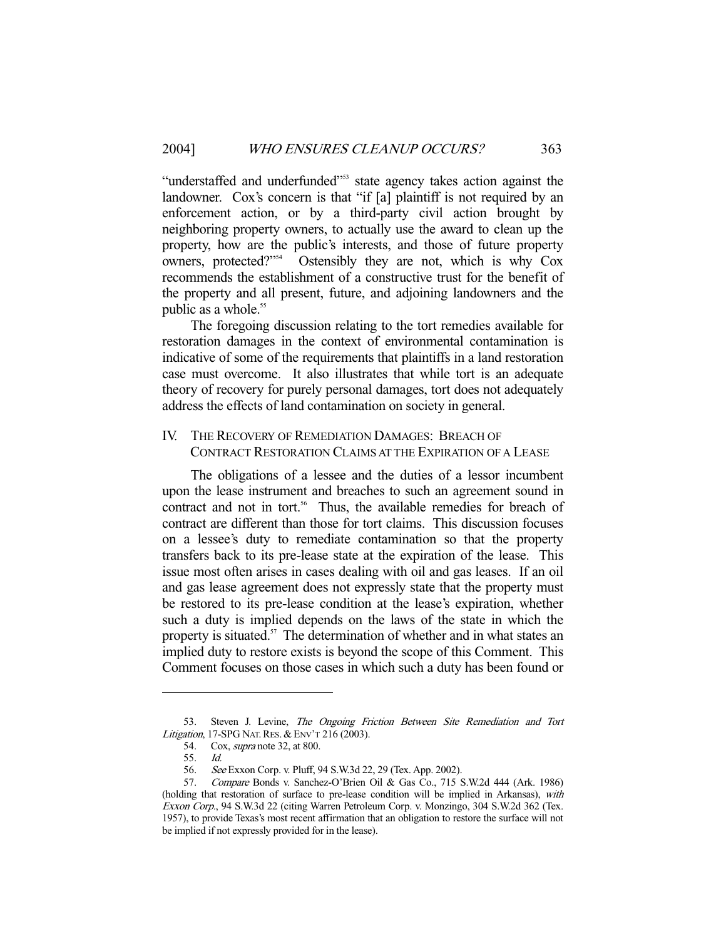"understaffed and underfunded"<sup>53</sup> state agency takes action against the landowner. Cox's concern is that "if [a] plaintiff is not required by an enforcement action, or by a third-party civil action brought by neighboring property owners, to actually use the award to clean up the property, how are the public's interests, and those of future property owners, protected?"54 Ostensibly they are not, which is why Cox recommends the establishment of a constructive trust for the benefit of the property and all present, future, and adjoining landowners and the public as a whole.<sup>55</sup>

 The foregoing discussion relating to the tort remedies available for restoration damages in the context of environmental contamination is indicative of some of the requirements that plaintiffs in a land restoration case must overcome. It also illustrates that while tort is an adequate theory of recovery for purely personal damages, tort does not adequately address the effects of land contamination on society in general.

#### IV. THE RECOVERY OF REMEDIATION DAMAGES: BREACH OF CONTRACT RESTORATION CLAIMS AT THE EXPIRATION OF A LEASE

 The obligations of a lessee and the duties of a lessor incumbent upon the lease instrument and breaches to such an agreement sound in contract and not in tort.<sup>56</sup> Thus, the available remedies for breach of contract are different than those for tort claims. This discussion focuses on a lessee's duty to remediate contamination so that the property transfers back to its pre-lease state at the expiration of the lease. This issue most often arises in cases dealing with oil and gas leases. If an oil and gas lease agreement does not expressly state that the property must be restored to its pre-lease condition at the lease's expiration, whether such a duty is implied depends on the laws of the state in which the property is situated.<sup>57</sup> The determination of whether and in what states an implied duty to restore exists is beyond the scope of this Comment. This Comment focuses on those cases in which such a duty has been found or

<sup>53.</sup> Steven J. Levine, The Ongoing Friction Between Site Remediation and Tort Litigation, 17-SPG NAT. RES. & ENV'T 216 (2003).

<sup>54.</sup> Cox, *supra* note 32, at 800.<br>55. *Id.* 

<sup>55.</sup> 

 <sup>56.</sup> See Exxon Corp. v. Pluff, 94 S.W.3d 22, 29 (Tex. App. 2002).

<sup>57.</sup> Compare Bonds v. Sanchez-O'Brien Oil & Gas Co., 715 S.W.2d 444 (Ark. 1986) (holding that restoration of surface to pre-lease condition will be implied in Arkansas), with Exxon Corp., 94 S.W.3d 22 (citing Warren Petroleum Corp. v. Monzingo, 304 S.W.2d 362 (Tex. 1957), to provide Texas's most recent affirmation that an obligation to restore the surface will not be implied if not expressly provided for in the lease).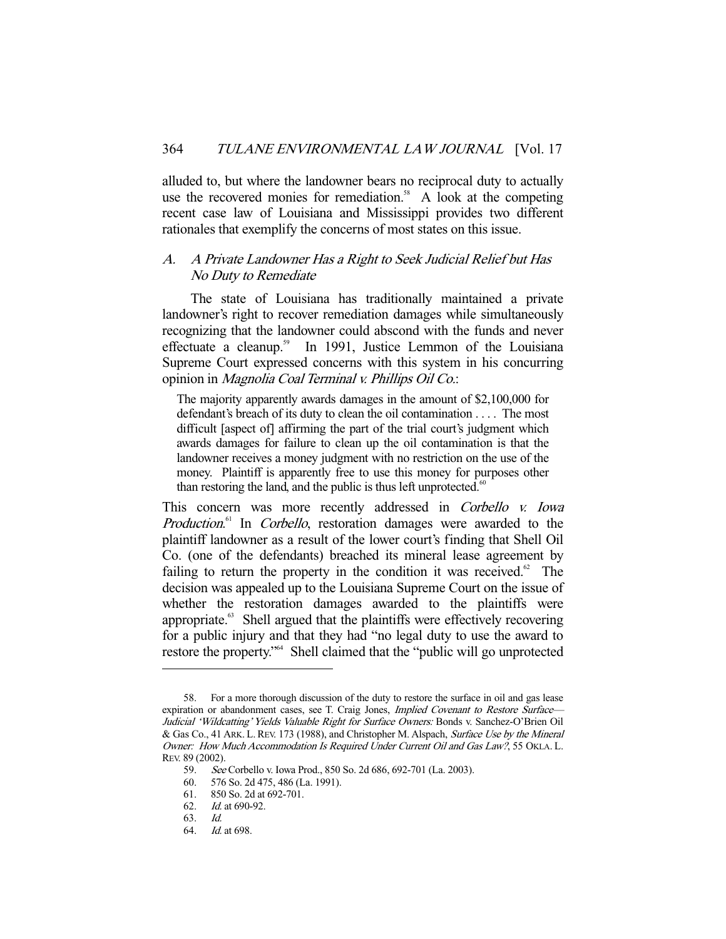alluded to, but where the landowner bears no reciprocal duty to actually use the recovered monies for remediation.<sup>58</sup> A look at the competing recent case law of Louisiana and Mississippi provides two different rationales that exemplify the concerns of most states on this issue.

#### A. A Private Landowner Has a Right to Seek Judicial Relief but Has No Duty to Remediate

 The state of Louisiana has traditionally maintained a private landowner's right to recover remediation damages while simultaneously recognizing that the landowner could abscond with the funds and never effectuate a cleanup.<sup>59</sup> In 1991, Justice Lemmon of the Louisiana Supreme Court expressed concerns with this system in his concurring opinion in Magnolia Coal Terminal v. Phillips Oil Co.:

The majority apparently awards damages in the amount of \$2,100,000 for defendant's breach of its duty to clean the oil contamination . . . . The most difficult [aspect of] affirming the part of the trial court's judgment which awards damages for failure to clean up the oil contamination is that the landowner receives a money judgment with no restriction on the use of the money. Plaintiff is apparently free to use this money for purposes other than restoring the land, and the public is thus left unprotected. $60$ 

This concern was more recently addressed in Corbello v. Iowa Production.<sup>61</sup> In Corbello, restoration damages were awarded to the plaintiff landowner as a result of the lower court's finding that Shell Oil Co. (one of the defendants) breached its mineral lease agreement by failing to return the property in the condition it was received.<sup>62</sup> The decision was appealed up to the Louisiana Supreme Court on the issue of whether the restoration damages awarded to the plaintiffs were appropriate.<sup>63</sup> Shell argued that the plaintiffs were effectively recovering for a public injury and that they had "no legal duty to use the award to restore the property."64 Shell claimed that the "public will go unprotected

 <sup>58.</sup> For a more thorough discussion of the duty to restore the surface in oil and gas lease expiration or abandonment cases, see T. Craig Jones, *Implied Covenant to Restore Surface*— Judicial 'Wildcatting' Yields Valuable Right for Surface Owners: Bonds v. Sanchez-O'Brien Oil & Gas Co., 41 ARK. L. REV. 173 (1988), and Christopher M. Alspach, Surface Use by the Mineral Owner: How Much Accommodation Is Required Under Current Oil and Gas Law?, 55 OKLA. L. REV. 89 (2002).

 <sup>59.</sup> See Corbello v. Iowa Prod., 850 So. 2d 686, 692-701 (La. 2003).

<sup>60. 576</sup> So. 2d 475, 486 (La. 1991).<br>61. 850 So. 2d at 692-701.

<sup>850</sup> So. 2d at 692-701.

 <sup>62.</sup> Id. at 690-92.

 <sup>63.</sup> Id.

 <sup>64.</sup> Id. at 698.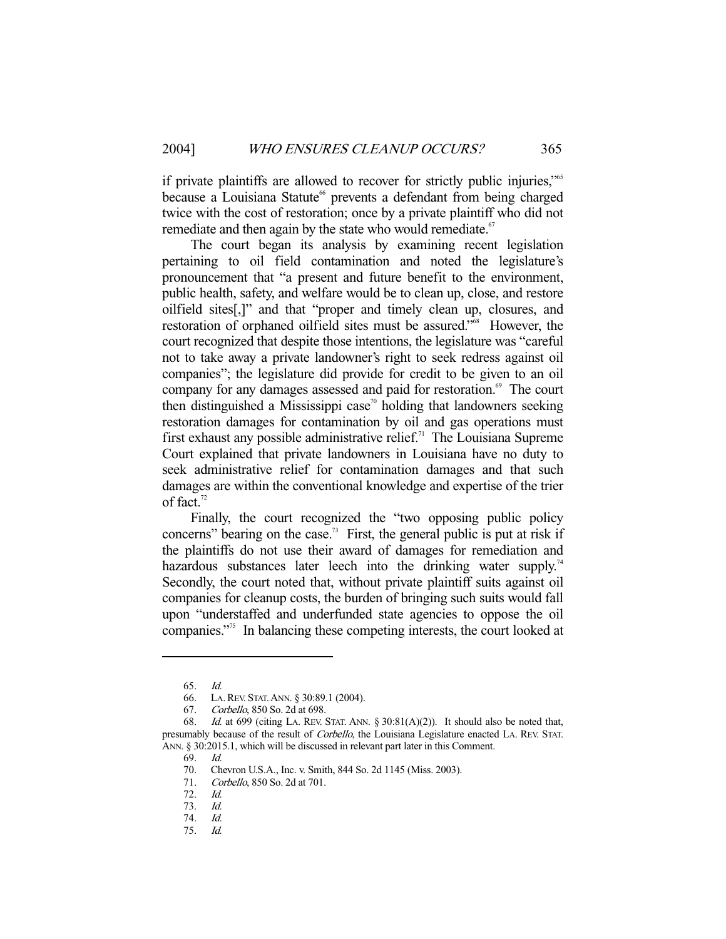if private plaintiffs are allowed to recover for strictly public injuries,"65 because a Louisiana Statute<sup>66</sup> prevents a defendant from being charged twice with the cost of restoration; once by a private plaintiff who did not remediate and then again by the state who would remediate.<sup>67</sup>

 The court began its analysis by examining recent legislation pertaining to oil field contamination and noted the legislature's pronouncement that "a present and future benefit to the environment, public health, safety, and welfare would be to clean up, close, and restore oilfield sites[,]" and that "proper and timely clean up, closures, and restoration of orphaned oilfield sites must be assured."68 However, the court recognized that despite those intentions, the legislature was "careful not to take away a private landowner's right to seek redress against oil companies"; the legislature did provide for credit to be given to an oil company for any damages assessed and paid for restoration.<sup>69</sup> The court then distinguished a Mississippi case<sup>70</sup> holding that landowners seeking restoration damages for contamination by oil and gas operations must first exhaust any possible administrative relief.<sup>71</sup> The Louisiana Supreme Court explained that private landowners in Louisiana have no duty to seek administrative relief for contamination damages and that such damages are within the conventional knowledge and expertise of the trier of fact.<sup>72</sup>

 Finally, the court recognized the "two opposing public policy concerns" bearing on the case.<sup>73</sup> First, the general public is put at risk if the plaintiffs do not use their award of damages for remediation and hazardous substances later leech into the drinking water supply.<sup>74</sup> Secondly, the court noted that, without private plaintiff suits against oil companies for cleanup costs, the burden of bringing such suits would fall upon "understaffed and underfunded state agencies to oppose the oil companies."75 In balancing these competing interests, the court looked at

 <sup>65.</sup> Id.

 <sup>66.</sup> LA.REV. STAT.ANN. § 30:89.1 (2004).

 <sup>67.</sup> Corbello, 850 So. 2d at 698.

 <sup>68.</sup> Id. at 699 (citing LA. REV. STAT. ANN. § 30:81(A)(2)). It should also be noted that, presumably because of the result of *Corbello*, the Louisiana Legislature enacted LA. REV. STAT. ANN. § 30:2015.1, which will be discussed in relevant part later in this Comment.

 <sup>69.</sup> Id.

 <sup>70.</sup> Chevron U.S.A., Inc. v. Smith, 844 So. 2d 1145 (Miss. 2003).

 <sup>71.</sup> Corbello, 850 So. 2d at 701.

 <sup>72.</sup> Id.

 <sup>73.</sup> Id.

 <sup>74.</sup> Id.

 <sup>75.</sup> Id.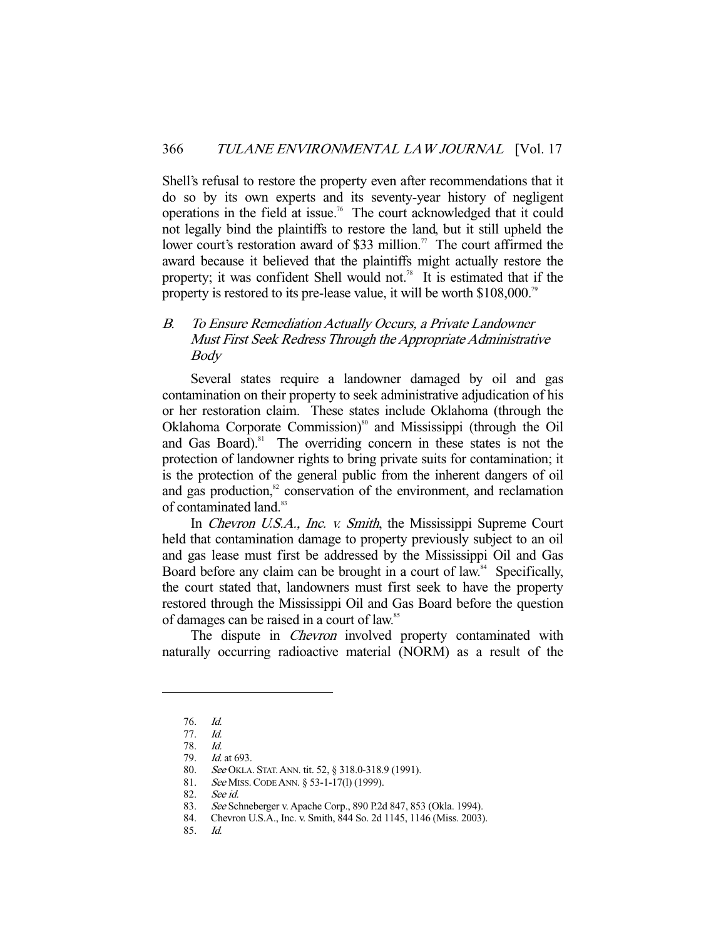Shell's refusal to restore the property even after recommendations that it do so by its own experts and its seventy-year history of negligent operations in the field at issue.76 The court acknowledged that it could not legally bind the plaintiffs to restore the land, but it still upheld the lower court's restoration award of \$33 million.<sup>77</sup> The court affirmed the award because it believed that the plaintiffs might actually restore the property; it was confident Shell would not.<sup>78</sup> It is estimated that if the property is restored to its pre-lease value, it will be worth \$108,000.<sup>79</sup>

## B. To Ensure Remediation Actually Occurs, a Private Landowner Must First Seek Redress Through the Appropriate Administrative Body

 Several states require a landowner damaged by oil and gas contamination on their property to seek administrative adjudication of his or her restoration claim. These states include Oklahoma (through the Oklahoma Corporate Commission)<sup>80</sup> and Mississippi (through the Oil and Gas Board). $81$  The overriding concern in these states is not the protection of landowner rights to bring private suits for contamination; it is the protection of the general public from the inherent dangers of oil and gas production, $82$  conservation of the environment, and reclamation of contaminated land.<sup>83</sup>

In *Chevron U.S.A., Inc. v. Smith*, the Mississippi Supreme Court held that contamination damage to property previously subject to an oil and gas lease must first be addressed by the Mississippi Oil and Gas Board before any claim can be brought in a court of law.<sup>84</sup> Specifically, the court stated that, landowners must first seek to have the property restored through the Mississippi Oil and Gas Board before the question of damages can be raised in a court of law.<sup>85</sup>

The dispute in *Chevron* involved property contaminated with naturally occurring radioactive material (NORM) as a result of the

-

85. Id.

 <sup>76.</sup> Id.

 <sup>77.</sup> Id.

 <sup>78.</sup> Id.

 <sup>79.</sup> Id. at 693. 80. See OKLA. STAT. ANN. tit. 52, § 318.0-318.9 (1991).

<sup>81.</sup> See MISS. CODE ANN. § 53-1-17(1) (1999).

 <sup>82.</sup> See id.

 <sup>83.</sup> See Schneberger v. Apache Corp., 890 P.2d 847, 853 (Okla. 1994).

 <sup>84.</sup> Chevron U.S.A., Inc. v. Smith, 844 So. 2d 1145, 1146 (Miss. 2003).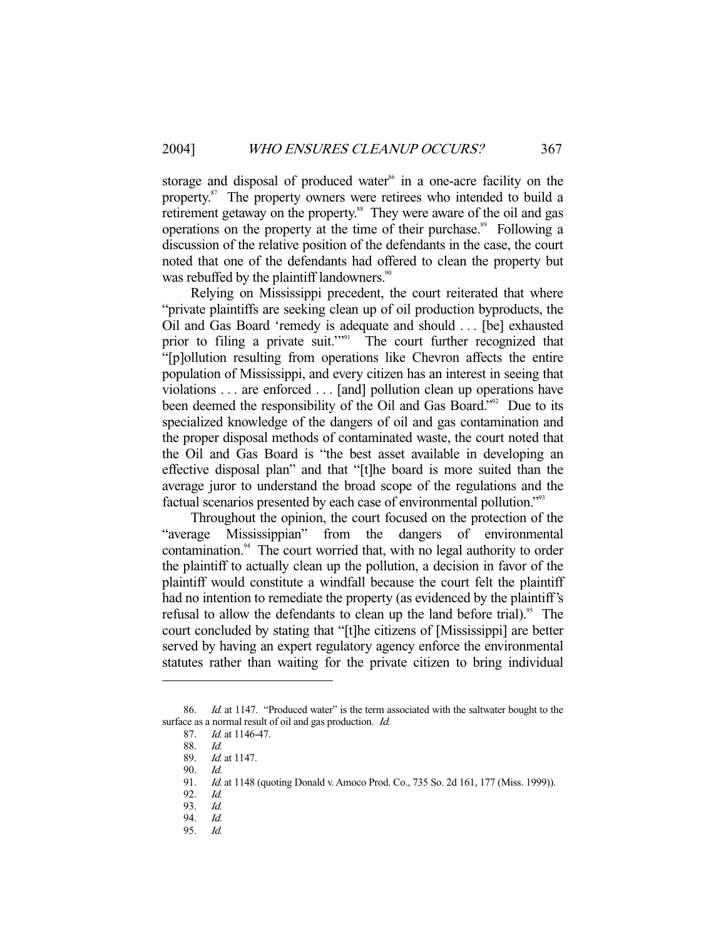storage and disposal of produced water<sup>86</sup> in a one-acre facility on the property.<sup>87</sup> The property owners were retirees who intended to build a retirement getaway on the property.<sup>88</sup> They were aware of the oil and gas operations on the property at the time of their purchase.<sup>89</sup> Following a discussion of the relative position of the defendants in the case, the court noted that one of the defendants had offered to clean the property but was rebuffed by the plaintiff landowners.<sup>90</sup>

 Relying on Mississippi precedent, the court reiterated that where "private plaintiffs are seeking clean up of oil production byproducts, the Oil and Gas Board 'remedy is adequate and should . . . [be] exhausted prior to filing a private suit."<sup>91</sup> The court further recognized that "[p]ollution resulting from operations like Chevron affects the entire population of Mississippi, and every citizen has an interest in seeing that violations . . . are enforced . . . [and] pollution clean up operations have been deemed the responsibility of the Oil and Gas Board."<sup>92</sup> Due to its specialized knowledge of the dangers of oil and gas contamination and the proper disposal methods of contaminated waste, the court noted that the Oil and Gas Board is "the best asset available in developing an effective disposal plan" and that "[t]he board is more suited than the average juror to understand the broad scope of the regulations and the factual scenarios presented by each case of environmental pollution."93

 Throughout the opinion, the court focused on the protection of the "average Mississippian" from the dangers of environmental contamination. $94$  The court worried that, with no legal authority to order the plaintiff to actually clean up the pollution, a decision in favor of the plaintiff would constitute a windfall because the court felt the plaintiff had no intention to remediate the property (as evidenced by the plaintiff's refusal to allow the defendants to clean up the land before trial).<sup>95</sup> The court concluded by stating that "[t]he citizens of [Mississippi] are better served by having an expert regulatory agency enforce the environmental statutes rather than waiting for the private citizen to bring individual

-

95. Id.

<sup>86.</sup> *Id.* at 1147. "Produced water" is the term associated with the saltwater bought to the surface as a normal result of oil and gas production. *Id.* 

 <sup>87.</sup> Id. at 1146-47.

 <sup>88.</sup> Id.

Id. at 1147.

 <sup>90.</sup> Id.

<sup>91.</sup> *Id.* at 1148 (quoting Donald v. Amoco Prod. Co., 735 So. 2d 161, 177 (Miss. 1999)).

 <sup>92.</sup> Id.

 <sup>93.</sup> Id.

 <sup>94.</sup> Id.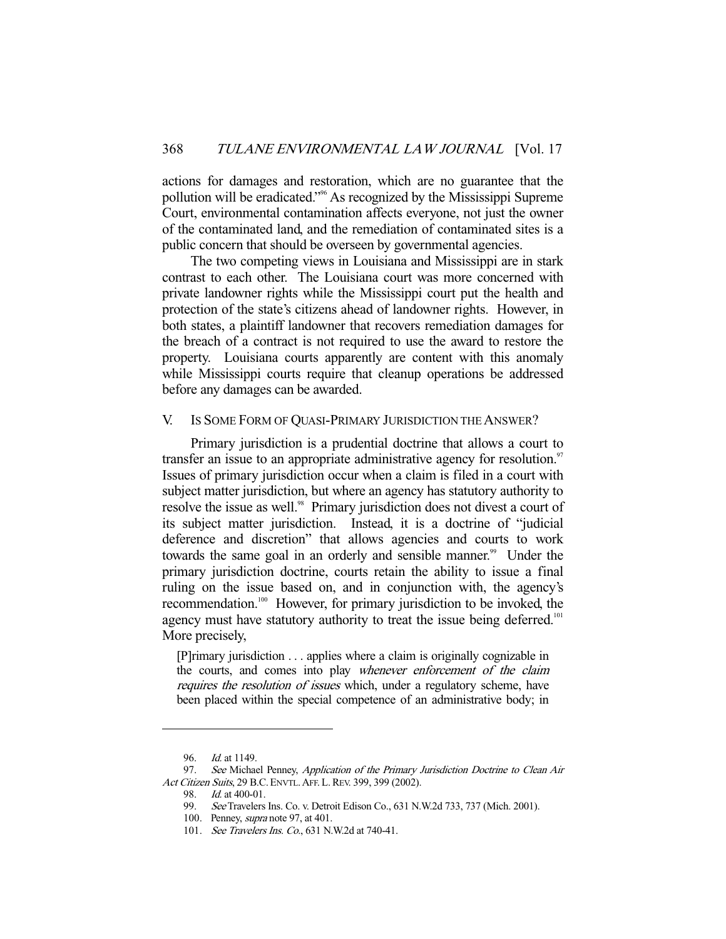actions for damages and restoration, which are no guarantee that the pollution will be eradicated."96 As recognized by the Mississippi Supreme Court, environmental contamination affects everyone, not just the owner of the contaminated land, and the remediation of contaminated sites is a public concern that should be overseen by governmental agencies.

 The two competing views in Louisiana and Mississippi are in stark contrast to each other. The Louisiana court was more concerned with private landowner rights while the Mississippi court put the health and protection of the state's citizens ahead of landowner rights. However, in both states, a plaintiff landowner that recovers remediation damages for the breach of a contract is not required to use the award to restore the property. Louisiana courts apparently are content with this anomaly while Mississippi courts require that cleanup operations be addressed before any damages can be awarded.

#### V. IS SOME FORM OF QUASI-PRIMARY JURISDICTION THE ANSWER?

 Primary jurisdiction is a prudential doctrine that allows a court to transfer an issue to an appropriate administrative agency for resolution.<sup>97</sup> Issues of primary jurisdiction occur when a claim is filed in a court with subject matter jurisdiction, but where an agency has statutory authority to resolve the issue as well.<sup>98</sup> Primary jurisdiction does not divest a court of its subject matter jurisdiction. Instead, it is a doctrine of "judicial deference and discretion" that allows agencies and courts to work towards the same goal in an orderly and sensible manner.<sup>99</sup> Under the primary jurisdiction doctrine, courts retain the ability to issue a final ruling on the issue based on, and in conjunction with, the agency's recommendation.100 However, for primary jurisdiction to be invoked, the agency must have statutory authority to treat the issue being deferred.<sup>101</sup> More precisely,

[P]rimary jurisdiction . . . applies where a claim is originally cognizable in the courts, and comes into play whenever enforcement of the claim requires the resolution of issues which, under a regulatory scheme, have been placed within the special competence of an administrative body; in

<sup>96.</sup> *Id.* at 1149.

<sup>97.</sup> See Michael Penney, Application of the Primary Jurisdiction Doctrine to Clean Air Act Citizen Suits, 29 B.C. ENVTL. AFF. L. REV. 399, 399 (2002).

<sup>98.</sup> *Id.* at 400-01.

 <sup>99.</sup> See Travelers Ins. Co. v. Detroit Edison Co., 631 N.W.2d 733, 737 (Mich. 2001).

 <sup>100.</sup> Penney, supra note 97, at 401.

 <sup>101.</sup> See Travelers Ins. Co., 631 N.W.2d at 740-41.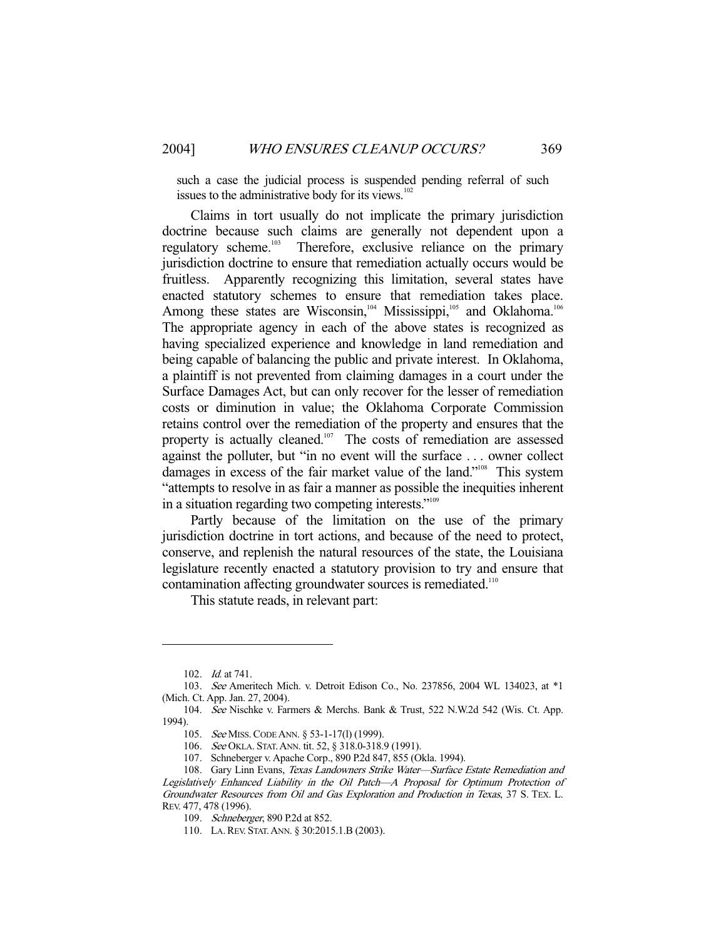such a case the judicial process is suspended pending referral of such issues to the administrative body for its views.<sup>102</sup>

 Claims in tort usually do not implicate the primary jurisdiction doctrine because such claims are generally not dependent upon a regulatory scheme.<sup>103</sup> Therefore, exclusive reliance on the primary jurisdiction doctrine to ensure that remediation actually occurs would be fruitless. Apparently recognizing this limitation, several states have enacted statutory schemes to ensure that remediation takes place. Among these states are Wisconsin,<sup>104</sup> Mississippi,<sup>105</sup> and Oklahoma.<sup>106</sup> The appropriate agency in each of the above states is recognized as having specialized experience and knowledge in land remediation and being capable of balancing the public and private interest. In Oklahoma, a plaintiff is not prevented from claiming damages in a court under the Surface Damages Act, but can only recover for the lesser of remediation costs or diminution in value; the Oklahoma Corporate Commission retains control over the remediation of the property and ensures that the property is actually cleaned.<sup>107</sup> The costs of remediation are assessed against the polluter, but "in no event will the surface . . . owner collect damages in excess of the fair market value of the land."<sup>108</sup> This system "attempts to resolve in as fair a manner as possible the inequities inherent in a situation regarding two competing interests."109

 Partly because of the limitation on the use of the primary jurisdiction doctrine in tort actions, and because of the need to protect, conserve, and replenish the natural resources of the state, the Louisiana legislature recently enacted a statutory provision to try and ensure that contamination affecting groundwater sources is remediated.<sup>110</sup>

This statute reads, in relevant part:

 <sup>102.</sup> Id. at 741.

 <sup>103.</sup> See Ameritech Mich. v. Detroit Edison Co., No. 237856, 2004 WL 134023, at \*1 (Mich. Ct. App. Jan. 27, 2004).

 <sup>104.</sup> See Nischke v. Farmers & Merchs. Bank & Trust, 522 N.W.2d 542 (Wis. Ct. App. 1994).

 <sup>105.</sup> See MISS.CODE ANN. § 53-1-17(l) (1999).

 <sup>106.</sup> See OKLA. STAT.ANN. tit. 52, § 318.0-318.9 (1991).

 <sup>107.</sup> Schneberger v. Apache Corp., 890 P.2d 847, 855 (Okla. 1994).

<sup>108.</sup> Gary Linn Evans, Texas Landowners Strike Water-Surface Estate Remediation and Legislatively Enhanced Liability in the Oil Patch—A Proposal for Optimum Protection of Groundwater Resources from Oil and Gas Exploration and Production in Texas, 37 S. TEX. L. REV. 477, 478 (1996).

 <sup>109.</sup> Schneberger, 890 P.2d at 852.

 <sup>110.</sup> LA.REV. STAT.ANN. § 30:2015.1.B (2003).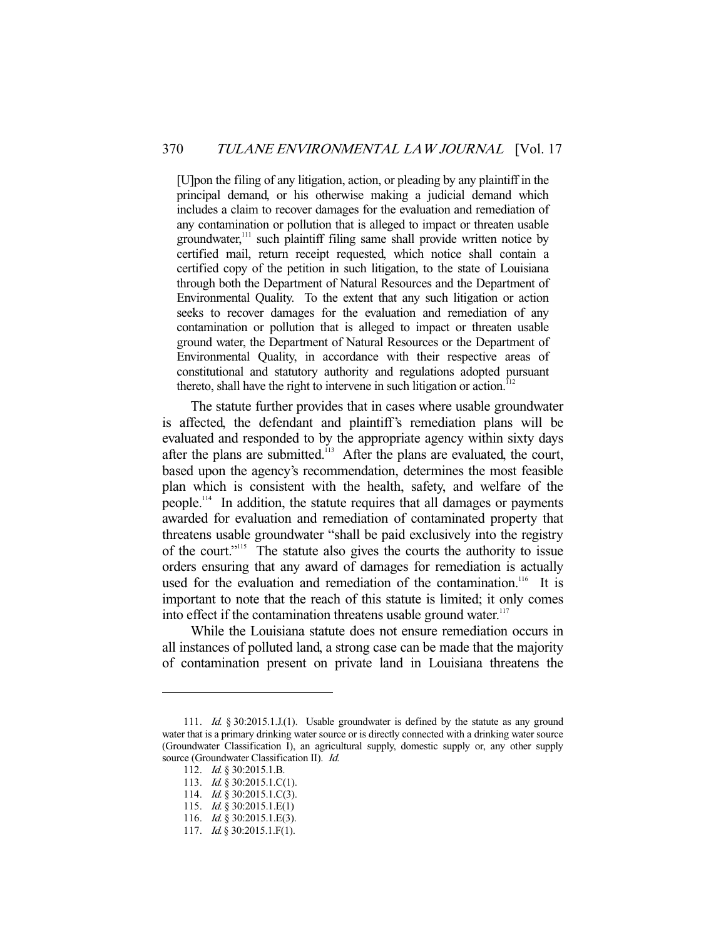[U]pon the filing of any litigation, action, or pleading by any plaintiff in the principal demand, or his otherwise making a judicial demand which includes a claim to recover damages for the evaluation and remediation of any contamination or pollution that is alleged to impact or threaten usable groundwater,<sup>111</sup> such plaintiff filing same shall provide written notice by certified mail, return receipt requested, which notice shall contain a certified copy of the petition in such litigation, to the state of Louisiana through both the Department of Natural Resources and the Department of Environmental Quality. To the extent that any such litigation or action seeks to recover damages for the evaluation and remediation of any contamination or pollution that is alleged to impact or threaten usable ground water, the Department of Natural Resources or the Department of Environmental Quality, in accordance with their respective areas of constitutional and statutory authority and regulations adopted pursuant thereto, shall have the right to intervene in such litigation or action.<sup>1</sup>

 The statute further provides that in cases where usable groundwater is affected, the defendant and plaintiff's remediation plans will be evaluated and responded to by the appropriate agency within sixty days after the plans are submitted.<sup>113</sup> After the plans are evaluated, the court, based upon the agency's recommendation, determines the most feasible plan which is consistent with the health, safety, and welfare of the people.114 In addition, the statute requires that all damages or payments awarded for evaluation and remediation of contaminated property that threatens usable groundwater "shall be paid exclusively into the registry of the court."115 The statute also gives the courts the authority to issue orders ensuring that any award of damages for remediation is actually used for the evaluation and remediation of the contamination.<sup>116</sup> It is important to note that the reach of this statute is limited; it only comes into effect if the contamination threatens usable ground water. $117$ 

 While the Louisiana statute does not ensure remediation occurs in all instances of polluted land, a strong case can be made that the majority of contamination present on private land in Louisiana threatens the

<sup>111.</sup> Id. § 30:2015.1.J.(1). Usable groundwater is defined by the statute as any ground water that is a primary drinking water source or is directly connected with a drinking water source (Groundwater Classification I), an agricultural supply, domestic supply or, any other supply source (Groundwater Classification II). *Id.* 

 <sup>112.</sup> Id. § 30:2015.1.B.

<sup>113.</sup> *Id.* § 30:2015.1.C(1).

<sup>114.</sup> *Id.* § 30:2015.1.C(3).

 <sup>115.</sup> Id. § 30:2015.1.E(1)

<sup>116.</sup> *Id.* § 30:2015.1.E(3).

<sup>117.</sup> *Id.* § 30:2015.1.F(1).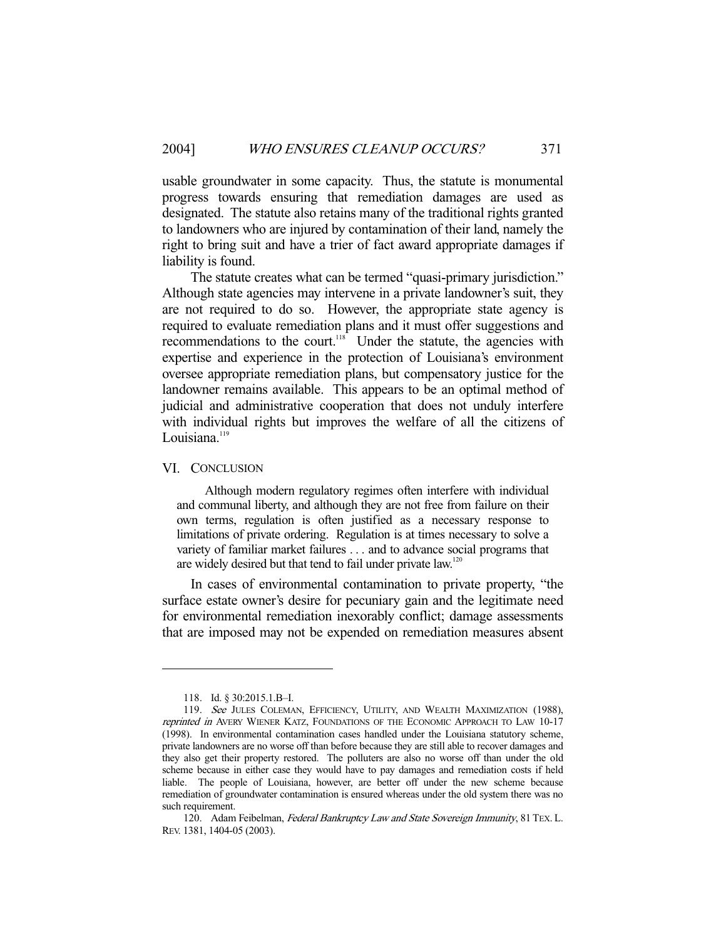usable groundwater in some capacity. Thus, the statute is monumental progress towards ensuring that remediation damages are used as designated. The statute also retains many of the traditional rights granted to landowners who are injured by contamination of their land, namely the right to bring suit and have a trier of fact award appropriate damages if liability is found.

 The statute creates what can be termed "quasi-primary jurisdiction." Although state agencies may intervene in a private landowner's suit, they are not required to do so. However, the appropriate state agency is required to evaluate remediation plans and it must offer suggestions and recommendations to the court.<sup>118</sup> Under the statute, the agencies with expertise and experience in the protection of Louisiana's environment oversee appropriate remediation plans, but compensatory justice for the landowner remains available. This appears to be an optimal method of judicial and administrative cooperation that does not unduly interfere with individual rights but improves the welfare of all the citizens of Louisiana.<sup>119</sup>

#### VI. CONCLUSION

 Although modern regulatory regimes often interfere with individual and communal liberty, and although they are not free from failure on their own terms, regulation is often justified as a necessary response to limitations of private ordering. Regulation is at times necessary to solve a variety of familiar market failures . . . and to advance social programs that are widely desired but that tend to fail under private law.<sup>120</sup>

 In cases of environmental contamination to private property, "the surface estate owner's desire for pecuniary gain and the legitimate need for environmental remediation inexorably conflict; damage assessments that are imposed may not be expended on remediation measures absent

 <sup>118.</sup> Id. § 30:2015.1.B–I.

<sup>119.</sup> See JULES COLEMAN, EFFICIENCY, UTILITY, AND WEALTH MAXIMIZATION (1988), reprinted in AVERY WIENER KATZ, FOUNDATIONS OF THE ECONOMIC APPROACH TO LAW 10-17 (1998). In environmental contamination cases handled under the Louisiana statutory scheme, private landowners are no worse off than before because they are still able to recover damages and they also get their property restored. The polluters are also no worse off than under the old scheme because in either case they would have to pay damages and remediation costs if held liable. The people of Louisiana, however, are better off under the new scheme because remediation of groundwater contamination is ensured whereas under the old system there was no such requirement.

<sup>120.</sup> Adam Feibelman, Federal Bankruptcy Law and State Sovereign Immunity, 81 TEX. L. REV. 1381, 1404-05 (2003).